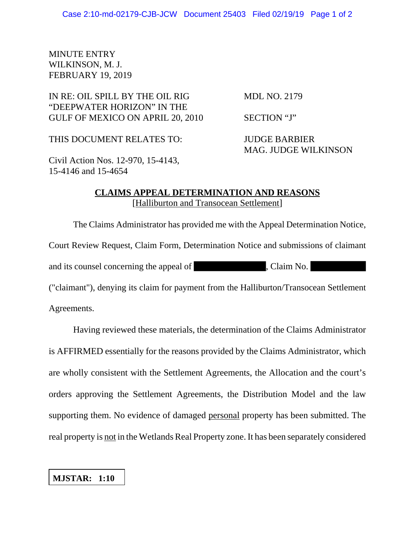## MINUTE ENTRY WILKINSON, M. J. FEBRUARY 19, 2019

IN RE: OIL SPILL BY THE OIL RIG MDL NO. 2179 "DEEPWATER HORIZON" IN THE GULF OF MEXICO ON APRIL 20, 2010 SECTION "J"

THIS DOCUMENT RELATES TO: JUDGE BARBIER

MAG. JUDGE WILKINSON

Civil Action Nos. 12-970, 15-4143, 15-4146 and 15-4654

## **CLAIMS APPEAL DETERMINATION AND REASONS** [Halliburton and Transocean Settlement]

The Claims Administrator has provided me with the Appeal Determination Notice, Court Review Request, Claim Form, Determination Notice and submissions of claimant and its counsel concerning the appeal of , Claim No. ("claimant"), denying its claim for payment from the Halliburton/Transocean Settlement

Agreements.

Having reviewed these materials, the determination of the Claims Administrator is AFFIRMED essentially for the reasons provided by the Claims Administrator, which are wholly consistent with the Settlement Agreements, the Allocation and the court's orders approving the Settlement Agreements, the Distribution Model and the law supporting them. No evidence of damaged personal property has been submitted. The real property is not in the Wetlands Real Property zone. It has been separately considered

## **MJSTAR: 1:10**